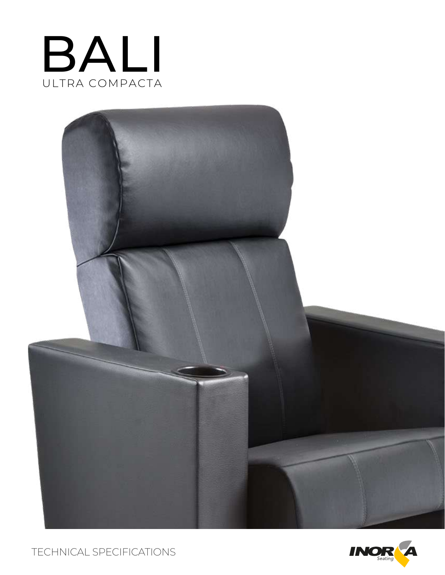



TECHNICAL SPECIFICATIONS

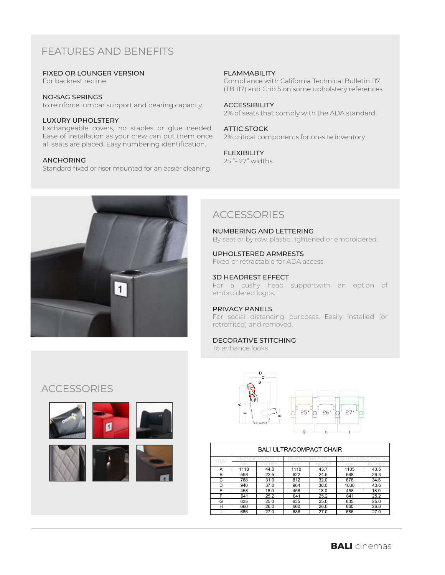# FEATURES AND BENEFITS

### FIXED OR LOUNGER VERSION

For backrest recline

### NO-SAG SPRINGS

to reinforce lumbar support and bearing capacity.

### LUXURY UPHOLSTERY

Exchangeable covers, no staples or glue needed. Ease of installation as your crew can put them once all seats are placed. Easy numbering identification.

### ANCHORING

Standard fixed or riser mounted for an easier cleaning

### FLAMMABILITY

Compliance with California Technical Bulletin 117 (TB 117) and Crib 5 on some upholstery references

#### ACCESSIBILITY

2% of seats that comply with the ADA standard

### ATTIC STOCK

2% critical components for on-site inventory

#### FLEXIBILITY

25 "- 27" widths



## **ACCESSORIES**

NUMBERING AND LETTERING By seat or by row, plastic, lightened or embroidered.

#### UPHOLSTERED ARMRESTS Fixed or retractable for ADA access

3D HEADREST EFFECT

For a cushy head supportwith an option of embroidered logos.

### PRIVACY PANELS

For social distancing purposes. Easily installed (or retroffited) and removed.

### DECORATIVE STITCHING

To enhance looks

## **ACCESSORIES**





#### BALI ULTRACOMPACT CHAIR ITEM DIMENSIONS POS. 1 DIMENSIONS POS. 2 DIMENSIONS POS. 3 mm INCHES mm INCHES mm INCHES A | 1118 | 44.0 | 1110 | 43.7 | 1105 | 43.5 B 598 23.5 622 24.5 668 26.3 C | 788 | 31.0 | 812 | 32.0 | 878 | 34.6 D 940 37.0 964 38.0 1030 40.6 E | 458 | 18.0 | 458 | 18.0 | 458 | 18.0 F 641 25.2 641 25.2 641 25.2 G 635 25.0 635 25.0 635 25.0 H | 660 | 26.0 | 660 | 26.0 | 660 | 26.0 I 686 27.0 686 27.0 686 27.0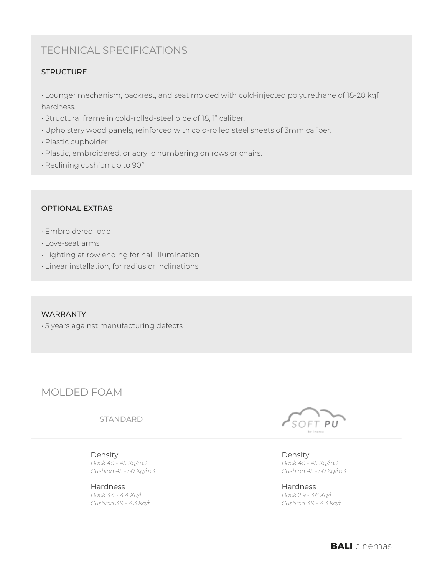# TECHNICAL SPECIFICATIONS

### **STRUCTURE**

• Lounger mechanism, backrest, and seat molded with cold-injected polyurethane of 18-20 kgf hardness.

- Structural frame in cold-rolled-steel pipe of 18, 1" caliber.
- Upholstery wood panels, reinforced with cold-rolled steel sheets of 3mm caliber.
- Plastic cupholder
- Plastic, embroidered, or acrylic numbering on rows or chairs.
- Reclining cushion up to 90º

### OPTIONAL EXTRAS

- Embroidered logo
- Love-seat arms
- Lighting at row ending for hall illumination
- Linear installation, for radius or inclinations

### WARRANTY

• 5 years against manufacturing defects

# MOLDED FOAM

STANDARD

Density *Back 40 - 45 Kg/m3 Cushion 45 - 50 Kg/m3*

Hardness *Back 3.4 - 4.4 Kg/f Cushion 3.9 - 4.3 Kg/f*



Density *Back 40 - 45 Kg/m3 Cushion 45 - 50 Kg/m3*

Hardness *Back 2.9 - 3.6 Kg/f Cushion 3.9 - 4.3 Kg/f*